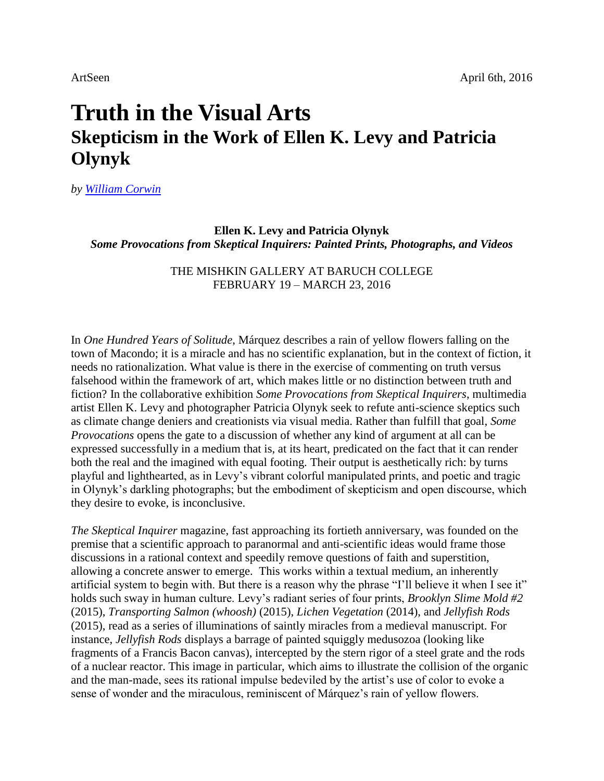## **Truth in the Visual Arts Skepticism in the Work of Ellen K. Levy and Patricia Olynyk**

*by [William Corwin](http://www.brooklynrail.org/contributor/william-corwin)*

**Ellen K. Levy and Patricia Olynyk**  *Some Provocations from Skeptical Inquirers: Painted Prints, Photographs, and Videos*

## THE MISHKIN GALLERY AT BARUCH COLLEGE FEBRUARY 19 – MARCH 23, 2016

In *One Hundred Years of Solitude*, Márquez describes a rain of yellow flowers falling on the town of Macondo; it is a miracle and has no scientific explanation, but in the context of fiction, it needs no rationalization. What value is there in the exercise of commenting on truth versus falsehood within the framework of art, which makes little or no distinction between truth and fiction? In the collaborative exhibition *Some Provocations from Skeptical Inquirers*, multimedia artist Ellen K. Levy and photographer Patricia Olynyk seek to refute anti-science skeptics such as climate change deniers and creationists via visual media. Rather than fulfill that goal, *Some Provocations* opens the gate to a discussion of whether any kind of argument at all can be expressed successfully in a medium that is, at its heart, predicated on the fact that it can render both the real and the imagined with equal footing. Their output is aesthetically rich: by turns playful and lighthearted, as in Levy's vibrant colorful manipulated prints, and poetic and tragic in Olynyk's darkling photographs; but the embodiment of skepticism and open discourse, which they desire to evoke, is inconclusive.

*The Skeptical Inquirer* magazine, fast approaching its fortieth anniversary, was founded on the premise that a scientific approach to paranormal and anti-scientific ideas would frame those discussions in a rational context and speedily remove questions of faith and superstition, allowing a concrete answer to emerge. This works within a textual medium, an inherently artificial system to begin with. But there is a reason why the phrase "I'll believe it when I see it" holds such sway in human culture. Levy's radiant series of four prints, *Brooklyn Slime Mold #2* (2015), *Transporting Salmon (whoosh)* (2015), *Lichen Vegetation* (2014), and *Jellyfish Rods* (2015), read as a series of illuminations of saintly miracles from a medieval manuscript. For instance, *Jellyfish Rods* displays a barrage of painted squiggly medusozoa (looking like fragments of a Francis Bacon canvas), intercepted by the stern rigor of a steel grate and the rods of a nuclear reactor. This image in particular, which aims to illustrate the collision of the organic and the man-made, sees its rational impulse bedeviled by the artist's use of color to evoke a sense of wonder and the miraculous, reminiscent of Márquez's rain of yellow flowers.